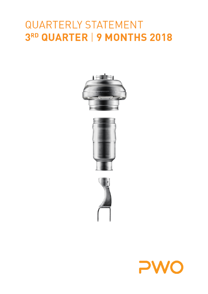# $\bigcap$  $UUZZ$ 3RD QUARTER | 9 MONTHS 2018







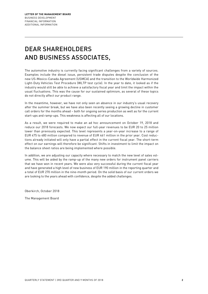# DEAR SHAREHOLDERS AND BUSINESS ASSOCIATES,

The automotive industry is currently facing significant challenges from a variety of sources. Examples include the diesel issue, persistent trade disputes despite the conclusion of the new US-Mexico-Canada Agreement (USMCA) and the transition to the Worldwide Harmonized Light-Duty Vehicles Test Procedure (WLTP test cycle). In the year to date, it looked as if the industry would still be able to achieve a satisfactory fiscal year and limit the impact within the usual fluctuations. This was the cause for our sustained optimism, as several of these topics do not directly affect our product range.

In the meantime, however, we have not only seen an absence in our industry's usual recovery after the summer break, but we have also been recently seeing a growing decline in customer call orders for the months ahead – both for ongoing series production as well as for the current start-ups and ramp-ups. This weakness is affecting all of our locations.

As a result, we were required to make an ad hoc announcement on October 19, 2018 and reduce our 2018 forecasts. We now expect our full-year revenues to be EUR 20 to 25 million lower than previously expected. This level represents a year-on-year increase to a range of EUR 475 to 480 million compared to revenue of EUR 461 million in the prior year. Cost reductions already initiated will only have a partial effect in the current fiscal year. The short-term effect on our earnings will therefore be significant. Shifts in investment to limit the impact on the balance sheet ratios are being implemented where possible.

In addition, we are adjusting our capacity where necessary to match the new level of sales volume. This will be aided by the ramp-up of the many new orders for instrument panel carriers that we have won in recent years. We were also very successful during the current fiscal year and have generated a high level of new business of EUR 190 million in the reporting quarter and a total of EUR 270 million in the nine-month period. On the solid basis of our current orders we are looking to the years ahead with confidence, despite the added challenges.

Oberkirch, October 2018

The Management Board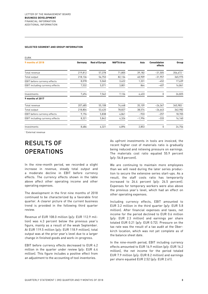#### **SELECTED SEGMENT AND GROUP INFORMATION**

| <b>EURK</b>                     |         |                       |                   |          |                                 |           |
|---------------------------------|---------|-----------------------|-------------------|----------|---------------------------------|-----------|
| 9 months of 2018                | Germany | <b>Rest of Europe</b> | <b>NAFTA Area</b> | Asia     | <b>Consolidation</b><br>effects | Group     |
| Total revenue                   | 219,812 | 57,378                | 71,805            | 39,182   | $-31,505$                       | 356,672 1 |
| Total output                    | 218,136 | 56,753                | 82,134            | 40,909   | $-31,957$                       | 365,975   |
| EBIT before currency effects    | 8,078   | 5,060                 | 3,622             | 1,331    | $-452$                          | 17,639    |
| EBIT including currency effects | 7,532   | 5,071                 | 3,801             | 864      | $-407$                          | 16,861    |
| Investments                     | 7,694   | 7,562                 | 7,136             | 4,433    | 0                               | 26,825    |
| 9 months of 2017                |         |                       |                   |          |                                 |           |
| Total revenue                   | 207,685 | 55,108                | 74,448            | 35,109   | $-26,367$                       | 345,983 1 |
| Total output                    | 218,804 | 53,420                | 78,827            | 38,574   | $-26,643$                       | 362,982   |
| EBIT before currency effects    | 9,196   | 5,838                 | 4,861             | $-933$   | $-257$                          | 18,705    |
| EBIT including currency effects | 8,321   | 5,842                 | 4,326             | $-1,996$ | $-333$                          | 16,160    |
| Investments                     | 8,686   | 6,321                 | 6,896             | 2,853    | 0                               | 24,756    |

<sup>1</sup> External revenue

### RESULTS OF **OPERATIONS**

In the nine-month period, we recorded a slight increase in revenue, steady total output and a moderate decline in EBIT before currency effects. The currency effects shown in the table above affect other operating income and other operating expenses.

The development in the first nine months of 2018 continued to be characterized by a favorable first quarter. A clearer picture of the current business trend is provided in the following third quarter review.

Revenue of EUR 108.0 million (p/y: EUR 112.9 million) was 4.3 percent below the previous year's figure, mainly as a result of the weak September. At EUR 119.5 million (p/y: EUR 118.9 million), total output was at the prior year's level due to a larger change in finished goods and work-in-progress.

EBIT before currency effects decreased to EUR 4.2 million in the quarter under review (p/y: EUR 6.4 million). This figure includes a positive effect from an adjustment to the accounting of tool inventories.

As upfront investments in tools are invoiced, the recent higher cost of materials ratio is gradually being reduced and relieving pressure on earnings. The materials cost ratio equaled 55.9 percent (p/y: 56.8 percent).

We are continuing to maintain more employees than we will need during the later series production to secure the extensive series start-ups. As a result, the staff costs ratio has temporarily increased to 26.4 percent (p/y: 24.5 percent). Expenses for temporary workers were also above the previous year's level, which had an effect on other operating expenses.

Including currency effects, EBIT amounted to EUR 3.2 million in the third quarter (p/y: EUR 5.8 million). After financial expenses and taxes, net income for the period declined to EUR 0.6 million (p/y: EUR 2.3 million) and earnings per share totaled EUR 0.21 (p/y: EUR 0.72). Pressure on the tax rate was the result of a tax audit at the Oberkirch location, which was not yet complete as of the balance sheet date.

In the nine-month period, EBIT including currency effects amounted to EUR 16.9 million (p/y: EUR 16.2 million), the net income for the period totaled EUR 7.9 million (p/y: EUR 8.2 million) and earnings per share equaled EUR 2.52 (p/y: EUR 2.61).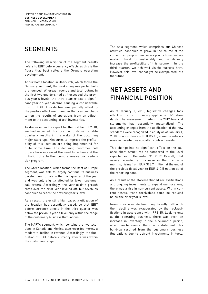### **SEGMENTS**

The following description of the segment results refers to EBIT before currency effects as this is the figure that best reflects the Group's operating development.

At our home location in Oberkirch, which forms the Germany segment, the weakening was particularly pronounced. Whereas revenue and total output in the first two quarters had still exceeded the previous year's levels, the third quarter saw a significant year-on-year decline causing a considerable drop in EBIT. This decline was partially offset by the positive effect mentioned in the previous chapter on the results of operations from an adjustment to the accounting of tool inventories.

As discussed in the report for the first half of 2018, we had expected this location to deliver volatile quarterly results in the wake of the upcoming major start-ups. Measures to improve the profitability of this location are being implemented for quite some time. The declining customer call orders have increased the need for action and the initiation of a further comprehensive cost reduction program.

The Czech location, which forms the Rest of Europe segment, was able to largely continue its business development to date in the third quarter of the year and was only slightly affected by lower customer call orders. Accordingly, the year-to-date growth rates over the prior year leveled off, but revenues continued to reach the previous year's level.

As a result, the existing high capacity utilization of the location has essentially eased, so that EBIT before currency effects in the third quarter was below the previous year's level only within the range of the customary business fluctuations.

The NAFTA segment, which contains the two locations in Canada and Mexico, also recorded merely a moderate decline in revenue. Accordingly, the fluctuation of EBIT before currency effects was within the customary range.

The Asia segment, which comprises our Chinese activities, continues to grow. In the course of the current ramp-up of new series productions, we are working hard to sustainably and significantly increase the profitability of this segment. In the third quarter, we achieved visible success here. However, this level cannot yet be extrapolated into the future.

### NET ASSETS AND FINANCIAL POSITION

As of January 1, 2018, legislative changes took effect in the form of newly applicable IFRS standards. The assessment made in the 2017 financial statements has essentially materialized. The accounting changes from the application of the new standards were recognized in equity as of January 1, 2018. In accordance with IFRS 15, some inventories were reclassified as so-called contract assets.

This change had no significant effect on the balance sheet structures as compared to the level reported as of December 31, 2017. Overall, total assets recorded an increase in the first nine months, rising from EUR 393.7 million at the end of the previous fiscal year to EUR 410.5 million as of the reporting date.

As a result of the aforementioned reclassifications and ongoing investments to expand our locations, there was a rise in non-current assets. Within current assets, trade receivables could be reduced below the prior year's level.

Inventories also declined significantly, although their decline was exaggerated by the reclassifications in accordance with IFRS 15. Looking only at the operating business, there was even an increase in inventory in the nine-month period, which can be seen in the income statement. This build-up resulted from the customary business fluctuations due to upfront investments in tools.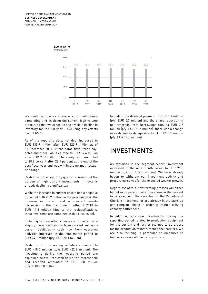

We continue to work intensively on continuously completing and invoicing the current high volume of tools, so that we expect to see a visible decline in inventory for the full year – excluding any effects from IFRS 15.

As of the reporting date, net debt increased to EUR 135.7 million after EUR 125.9 million as of 31 December 2017. At the same time, trade payables and other liabilities rose to EUR 87.6 million after EUR 77.0 million. The equity ratio amounted to 28.2 percent after 28.7 percent at the end of the past fiscal year and was within the normal fluctuation range.

Cash flow in the reporting quarter showed that the burden of high upfront investments in tools is already declining significantly:

While the increase in current assets had a negative impact of EUR 25.9 million in the previous year, the increase in current and non-current assets decreased in the first nine months of 2018 to EUR 11.3 million (due to the reclassifications, these two items are combined in this discussion).

Including various other changes – in particular a slightly lower cash inflow from current and noncurrent liabilities – cash flow from operating activities improved in the nine-month period to EUR 24.1 million (p/y: EUR 20.1 million).

Cash flow from investing activities amounted to EUR –18.0 million (p/y: EUR –22.8 million). The investments during the reporting period are explained below. Free cash flow after interest paid and received amounted to EUR 2.8 million (p/y: EUR –6.0 million).

Including the dividend payment of EUR 5.2 million (p/y: EUR 5.0 million) and the sharp reduction in net proceeds from borrowings totaling EUR 2.7 million (p/y: EUR 27.5 million), there was a change in cash and cash equivalents of EUR 0.3 million (p/y: EUR 16.5 million).

### INVESTMENTS

As explained in the segment report, investment increased in the nine-month period to EUR 26.8 million (p/y: EUR 24.8 million). We have already begun to withdraw our investment activity and prepare ourselves for the expected weaker growth.

Regardless of this, new forming presses will either be put into operation at all locations in the current fiscal year, with the exception of the Canada and Oberkirch locations, or are already in the start-up and ramp-up phase in order to reduce existing capacity bottlenecks.

In addition, extensive investments during the reporting period related to production equipment for the current and further planned large orders for the production of instrument panel carriers. We are also focusing in particular on measures to further increase efficiency in production.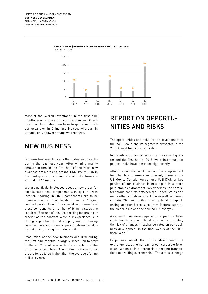

**NEW BUSINESS (LIFETIME VOLUME OF SERIES AND TOOL ORDERS)** IN EUR MILLION

Most of the overall investment in the first nine months was allocated to our German and Czech locations. In addition, we have forged ahead with our expansion in China and Mexico, whereas, in Canada, only a lower volume was realized.

### NEW BUSINESS

Our new business typically fluctuates significantly during the business year. After winning mainly smaller orders in the first half of the year, new business amounted to around EUR 190 million in the third quarter, including related tool volumes of around EUR 4 million.

We are particularly pleased about a new order for sophisticated seat components won by our Czech location. Starting in 2020, components are to be manufactured at this location over a 10-year contract period. Due to the special requirements of these components, a number of forming steps are required. Because of this, the deciding factors in our receipt of the contract were our experience, our strong reputation for developing and producing complex tools and for our superior delivery reliability and quality during the series runtime.

Production of the new business acquired during the first nine months is largely scheduled to start in the 2019 fiscal year with the exception of the order described above. The lifetime of these series orders tends to be higher than the average lifetime of 5 to 8 years.

### REPORT ON OPPORTU-NITIES AND RISKS

The opportunities and risks for the development of the PWO Group and its segments presented in the 2017 Annual Report remain valid.

In the interim financial report for the second quarter and the first half of 2018, we pointed out that political risks have increased significantly.

After the conclusion of the new trade agreement for the North American market, namely the US-Mexico-Canada Agreement (USMCA), a key portion of our business is now again in a more predictable environment. Nevertheless, the persistent trade conflicts between the United States and many other countries affect the overall economic climate. The automotive industry is also experiencing additional pressure from factors such as the diesel issue and the new WLTP test cycle.

As a result, we were required to adjust our forecasts for the current fiscal year and see mainly the risk of changes in exchange rates on our business development in the final weeks of the 2018 fiscal year.

Projections about the future development of exchange rates are not part of our corporate forecasts. We enter into appropriate hedging transactions to avoiding currency risk. The aim is to hedge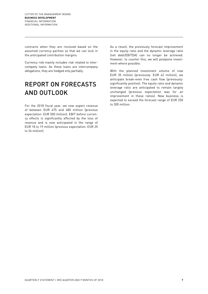contracts when they are received based on the assumed currency parities so that we can lock in the anticipated contribution margins.

Currency risk mainly includes risk related to intercompany loans. As these loans are intercompany obligations, they are hedged only partially.

# REPORT ON FORECASTS AND OUTLOOK

For the 2018 fiscal year, we now expect revenue of between EUR 475 and 480 million (previous expectation: EUR 500 million). EBIT before currency effects is significantly affected by the loss of revenue and is now anticipated in the range of EUR 18 to 19 million (previous expectation: EUR 25 to 26 million).

As a result, the previously forecast improvement in the equity ratio and the dynamic leverage ratio (net debt/EBITDA) can no longer be achieved. However, to counter this, we will postpone investment where possible.

With the planned investment volume of now EUR 35 million (previously: EUR 42 million), we anticipate break-even free cash flow (previously: significantly positive). The equity ratio and dynamic leverage ratio are anticipated to remain largely unchanged (previous expectation was for an improvement in these ratios). New business is expected to exceed the forecast range of EUR 250 to 300 million.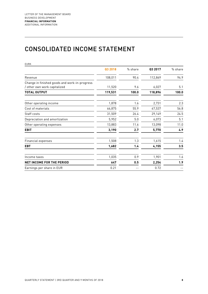### CONSOLIDATED INCOME STATEMENT

| <b>EURK</b>                                                                   |         |         |         |         |
|-------------------------------------------------------------------------------|---------|---------|---------|---------|
|                                                                               | Q3 2018 | % share | Q3 2017 | % share |
| Revenue                                                                       | 108,011 | 90.4    | 112,869 | 94.9    |
| Change in finished goods and work-in-progress<br>/ other own work capitalized | 11,520  | 9.6     | 6,027   | 5.1     |
| <b>TOTAL OUTPUT</b>                                                           | 119,531 | 100.0   | 118,896 | 100.0   |
| Other operating income                                                        | 1,878   | 1.6     | 2,731   | 2.3     |
| Cost of materials                                                             | 66,875  | 55.9    | 67,537  | 56.8    |
| Staff costs                                                                   | 31,509  | 26.4    | 29,149  | 24.5    |
| Depreciation and amortization                                                 | 5,952   | 5.0     | 6,073   | 5.1     |
| Other operating expenses                                                      | 13,883  | 11.6    | 13,098  | 11.0    |
| <b>EBIT</b>                                                                   | 3,190   | 2.7     | 5,770   | 4.9     |
| Financial expenses                                                            | 1,508   | 1.3     | 1,615   | 1.4     |
| <b>EBT</b>                                                                    | 1,682   | 1.4     | 4,155   | 3.5     |
| Income taxes                                                                  | 1,035   | 0.9     | 1,901   | 1.6     |
| <b>NET INCOME FOR THE PERIOD</b>                                              | 647     | 0.5     | 2,254   | 1.9     |
| Earnings per share in EUR                                                     | 0.21    |         | 0.72    |         |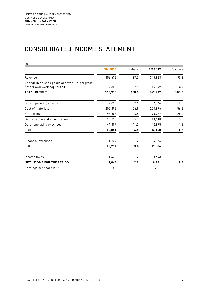### CONSOLIDATED INCOME STATEMENT

| <b>EURK</b>                                                                   |         |         |         |         |
|-------------------------------------------------------------------------------|---------|---------|---------|---------|
|                                                                               | 9M 2018 | % share | 9M 2017 | % share |
| Revenue                                                                       | 356,672 | 97.5    | 345,983 | 95.3    |
| Change in finished goods and work-in-progress<br>/ other own work capitalized | 9,303   | 2.5     | 16,999  | 4.7     |
| <b>TOTAL OUTPUT</b>                                                           | 365,975 | 100.0   | 362,982 | 100.0   |
| Other operating income                                                        | 7,858   | 2.1     | 9,044   | 2.5     |
| Cost of materials                                                             | 200,892 | 54.9    | 203,996 | 56.2    |
| Staff costs                                                                   | 96,503  | 26.4    | 90,757  | 25.0    |
| Depreciation and amortization                                                 | 18,270  | 5.0     | 18,118  | 5.0     |
| Other operating expenses                                                      | 41,307  | 11.3    | 42,995  | 11.8    |
| <b>EBIT</b>                                                                   | 16,861  | 4.6     | 16,160  | 4.5     |
| <b>Financial expenses</b>                                                     | 4,567   | 1.2     | 4,356   | 1.2     |
| <b>EBT</b>                                                                    | 12,294  | 3.4     | 11,804  | 3.3     |
| Income taxes                                                                  | 4,428   | 1.2     | 3,643   | 1.0     |
| NET INCOME FOR THE PERIOD                                                     | 7,866   | 2.2     | 8,161   | 2.3     |
| Earnings per share in EUR                                                     | 2.52    |         | 2.61    |         |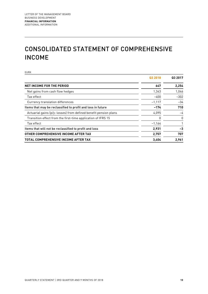# CONSOLIDATED STATEMENT OF COMPREHENSIVE INCOME

EURK

|                                                                  | Q3 2018  | Q3 2017  |
|------------------------------------------------------------------|----------|----------|
| <b>NET INCOME FOR THE PERIOD</b>                                 | 647      | 2,254    |
| Net gains from cash flow hedges                                  | 1,343    | 1,046    |
| Tax effect                                                       | $-400$   | $-302$   |
| Currency translation differences                                 | $-1,117$ | $-34$    |
| Items that may be reclassified to profit and loss in future      | $-174$   | 710      |
| Actuarial gains (p/y: losses) from defined benefit pension plans | 4,095    | -4       |
| Transition effect from the first-time application of IFRS 15     | 0        | $\Omega$ |
| Tax effect                                                       | $-1.164$ |          |
| Items that will not be reclassified to profit and loss           | 2,931    | $-3$     |
| OTHER COMPREHENSIVE INCOME AFTER TAX                             | 2,757    | 707      |
| <b>TOTAL COMPREHENSIVE INCOME AFTER TAX</b>                      | 3,404    | 2,961    |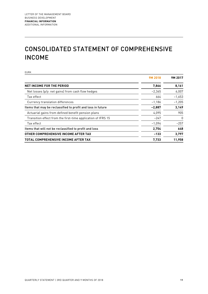# CONSOLIDATED STATEMENT OF COMPREHENSIVE INCOME

EURK

|                                                              | 9M 2018  | 9M 2017  |
|--------------------------------------------------------------|----------|----------|
| <b>NET INCOME FOR THE PERIOD</b>                             | 7,866    | 8,161    |
| Net losses $(p/y:$ net gains) from cash flow hedges          | $-2.365$ | 6,007    |
| Tax effect                                                   | 664      | $-1,653$ |
| Currency translation differences                             | $-1,186$ | $-1.205$ |
| Items that may be reclassified to profit and loss in future  | $-2,887$ | 3,149    |
| Actuarial gains from defined benefit pension plans           | 4,095    | 905      |
| Transition effect from the first-time application of IFRS 15 | $-247$   | $\Omega$ |
| Tax effect                                                   | $-1,094$ | $-257$   |
| Items that will not be reclassified to profit and loss       | 2,754    | 648      |
| OTHER COMPREHENSIVE INCOME AFTER TAX                         | $-133$   | 3,797    |
| <b>TOTAL COMPREHENSIVE INCOME AFTER TAX</b>                  | 7,733    | 11,958   |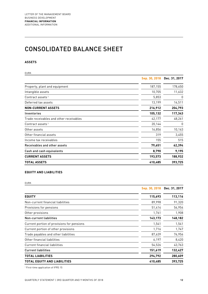### CONSOLIDATED BALANCE SHEET

### **ASSETS**

| <b>EURK</b>                             |               |               |
|-----------------------------------------|---------------|---------------|
|                                         | Sep. 30, 2018 | Dec. 31, 2017 |
| Property, plant and equipment           | 187,155       | 178,650       |
| Intangible assets                       | 10,705        | 11,632        |
| Contract assets <sup>1</sup>            | 5,853         | 0             |
| Deferred tax assets                     | 13,199        | 14,511        |
| <b>NON-CURRENT ASSETS</b>               | 216,912       | 204,793       |
| Inventories                             | 105,132       | 117,343       |
| Trade receivables and other receivables | 42,177        | 48,261        |
| Contract assets <sup>1</sup>            | 20,144        | 0             |
| Other assets                            | 16,856        | 10,163        |
| Other financial assets                  | 319           | 3,455         |
| Income tax receivables                  | 155           | 515           |
| Receivables and other assets            | 79,651        | 62,394        |
| Cash and cash equivalents               | 8,790         | 9,195         |
| <b>CURRENT ASSETS</b>                   | 193,573       | 188,932       |
| <b>TOTAL ASSETS</b>                     | 410,485       | 393,725       |

### **EQUITY AND LIABILITIES**

EURK

|                                            | Sep. 30, 2018 | Dec. 31, 2017 |
|--------------------------------------------|---------------|---------------|
| <b>EQUITY</b>                              | 115,693       | 113,116       |
| Non-current financial liabilities          | 89,998        | 91,320        |
| Provisions for pensions                    | 51,414        | 54,954        |
| Other provisions                           | 1,761         | 1,908         |
| Non-current liabilities                    | 143,173       | 148,182       |
| Current portion of provisions for pensions | 1,541         | 1,541         |
| Current portion of other provisions        | 1,716         | 1,747         |
| Trade payables and other liabilities       | 87,639        | 76,956        |
| Other financial liabilities                | 6,197         | 8,420         |
| <b>Current financial liabilities</b>       | 54,526        | 43,763        |
| <b>Current liabilities</b>                 | 151,619       | 132,427       |
| <b>TOTAL LIABILITIES</b>                   | 294,792       | 280,609       |
| <b>TOTAL EQUITY AND LIABILITIES</b>        | 410,485       | 393,725       |

<sup>1</sup> First-time application of IFRS 15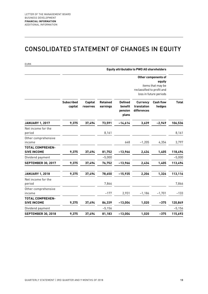### CONSOLIDATED STATEMENT OF CHANGES IN EQUITY

| <b>Equity attributable to PWO AG shareholders</b> |                              |                            |                             |                                               |                                               |                            |                                                                              |  |
|---------------------------------------------------|------------------------------|----------------------------|-----------------------------|-----------------------------------------------|-----------------------------------------------|----------------------------|------------------------------------------------------------------------------|--|
|                                                   |                              |                            |                             |                                               |                                               | reclassified to profit and | Other components of<br>equity<br>items that may be<br>loss in future periods |  |
|                                                   | <b>Subscribed</b><br>capital | <b>Capital</b><br>reserves | <b>Retained</b><br>earnings | <b>Defined</b><br>benefit<br>pension<br>plans | <b>Currency</b><br>translation<br>differences | <b>Cash flow</b><br>hedges | <b>Total</b>                                                                 |  |
| <b>JANUARY 1, 2017</b>                            | 9,375                        | 37,494                     | 73,591                      | $-14,614$                                     | 3,639                                         | $-2,949$                   | 106,536                                                                      |  |
| Net income for the<br>period                      |                              |                            | 8,161                       |                                               |                                               |                            | 8,161                                                                        |  |
| Other comprehensive<br>income                     |                              |                            |                             | 648                                           | $-1,205$                                      | 4,354                      | 3,797                                                                        |  |
| <b>TOTAL COMPREHEN-</b><br><b>SIVE INCOME</b>     | 9,375                        | 37,494                     | 81,752                      | -13,966                                       | 2,434                                         | 1,405                      | 118,494                                                                      |  |
| Dividend payment                                  |                              |                            | $-5,000$                    |                                               |                                               |                            | $-5,000$                                                                     |  |
| <b>SEPTEMBER 30, 2017</b>                         | 9,375                        | 37,494                     | 76,752                      | $-13,966$                                     | 2,434                                         | 1,405                      | 113,494                                                                      |  |
| <b>JANUARY 1, 2018</b>                            | 9,375                        | 37,494                     | 78,650                      | $-15,935$                                     | 2,206                                         | 1,326                      | 113,116                                                                      |  |
| Net income for the<br>period                      |                              |                            | 7,866                       |                                               |                                               |                            | 7,866                                                                        |  |
| Other comprehensive<br>income                     |                              |                            | $-177$                      | 2,931                                         | $-1,186$                                      | $-1,701$                   | $-133$                                                                       |  |
| <b>TOTAL COMPREHEN-</b><br><b>SIVE INCOME</b>     | 9,375                        | 37,494                     | 86,339                      | $-13,004$                                     | 1,020                                         | $-375$                     | 120,849                                                                      |  |
| Dividend payment                                  |                              |                            | $-5,156$                    |                                               |                                               |                            | $-5,156$                                                                     |  |
| <b>SEPTEMBER 30, 2018</b>                         | 9,375                        | 37,494                     | 81,183                      | $-13,004$                                     | 1,020                                         | $-375$                     | 115,693                                                                      |  |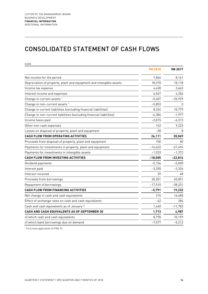### CONSOLIDATED STATEMENT OF CASH FLOWS

| 9M 2018<br>7,866<br>Net income for the period<br>Depreciation of property, plant and equipment and intangible assets<br>18,270<br>4.428<br>Income tax expense<br>Interest income and expenses<br>4,567<br>$-5,407$<br>Change in current assets <sup>1</sup><br>Change in non-current assets <sup>1</sup><br>$-5,853$<br>Change in current liabilities (excluding financial liabilities)<br>8,324<br>Change in non-current liabilities (excluding financial liabilities)<br>$-4,384$<br>$-3,815$<br>Income taxes paid<br>Other non-cash expenses<br>143<br>Losses on disposal of property, plant and equipment<br>$-28$<br>CASH FLOW FROM OPERATING ACTIVITIES<br>24,111<br>150<br>Proceeds from disposal of property, plant and equipment<br>$-16,622$<br>Payments for investments in property, plant and equipment<br>Payments for investments in intangible assets<br>$-1,533$<br><b>CASH FLOW FROM INVESTING ACTIVITIES</b><br>$-18,005$<br>$-5,156$<br>Dividend payments<br>$-3,355$<br>Interest paid<br>29<br>Interest received<br>20,201<br>Proceeds from borrowings<br>Repayment of borrowings<br>$-17,510$<br><b>CASH FLOW FROM FINANCING ACTIVITIES</b><br>$-5,791$<br>Net change in cash and cash equivalents<br>315<br>-42 | <b>EURK</b>                                           |           |
|---------------------------------------------------------------------------------------------------------------------------------------------------------------------------------------------------------------------------------------------------------------------------------------------------------------------------------------------------------------------------------------------------------------------------------------------------------------------------------------------------------------------------------------------------------------------------------------------------------------------------------------------------------------------------------------------------------------------------------------------------------------------------------------------------------------------------------------------------------------------------------------------------------------------------------------------------------------------------------------------------------------------------------------------------------------------------------------------------------------------------------------------------------------------------------------------------------------------------------------|-------------------------------------------------------|-----------|
|                                                                                                                                                                                                                                                                                                                                                                                                                                                                                                                                                                                                                                                                                                                                                                                                                                                                                                                                                                                                                                                                                                                                                                                                                                       |                                                       | 9M 2017   |
|                                                                                                                                                                                                                                                                                                                                                                                                                                                                                                                                                                                                                                                                                                                                                                                                                                                                                                                                                                                                                                                                                                                                                                                                                                       |                                                       | 8,161     |
|                                                                                                                                                                                                                                                                                                                                                                                                                                                                                                                                                                                                                                                                                                                                                                                                                                                                                                                                                                                                                                                                                                                                                                                                                                       |                                                       | 18,118    |
|                                                                                                                                                                                                                                                                                                                                                                                                                                                                                                                                                                                                                                                                                                                                                                                                                                                                                                                                                                                                                                                                                                                                                                                                                                       |                                                       | 3,643     |
|                                                                                                                                                                                                                                                                                                                                                                                                                                                                                                                                                                                                                                                                                                                                                                                                                                                                                                                                                                                                                                                                                                                                                                                                                                       |                                                       | 4,356     |
|                                                                                                                                                                                                                                                                                                                                                                                                                                                                                                                                                                                                                                                                                                                                                                                                                                                                                                                                                                                                                                                                                                                                                                                                                                       |                                                       | $-25,929$ |
|                                                                                                                                                                                                                                                                                                                                                                                                                                                                                                                                                                                                                                                                                                                                                                                                                                                                                                                                                                                                                                                                                                                                                                                                                                       |                                                       | $\Box$    |
|                                                                                                                                                                                                                                                                                                                                                                                                                                                                                                                                                                                                                                                                                                                                                                                                                                                                                                                                                                                                                                                                                                                                                                                                                                       |                                                       | 10,779    |
|                                                                                                                                                                                                                                                                                                                                                                                                                                                                                                                                                                                                                                                                                                                                                                                                                                                                                                                                                                                                                                                                                                                                                                                                                                       |                                                       | $-1,977$  |
|                                                                                                                                                                                                                                                                                                                                                                                                                                                                                                                                                                                                                                                                                                                                                                                                                                                                                                                                                                                                                                                                                                                                                                                                                                       |                                                       | $-6,313$  |
|                                                                                                                                                                                                                                                                                                                                                                                                                                                                                                                                                                                                                                                                                                                                                                                                                                                                                                                                                                                                                                                                                                                                                                                                                                       |                                                       | 9,223     |
|                                                                                                                                                                                                                                                                                                                                                                                                                                                                                                                                                                                                                                                                                                                                                                                                                                                                                                                                                                                                                                                                                                                                                                                                                                       |                                                       |           |
|                                                                                                                                                                                                                                                                                                                                                                                                                                                                                                                                                                                                                                                                                                                                                                                                                                                                                                                                                                                                                                                                                                                                                                                                                                       |                                                       | 20,069    |
|                                                                                                                                                                                                                                                                                                                                                                                                                                                                                                                                                                                                                                                                                                                                                                                                                                                                                                                                                                                                                                                                                                                                                                                                                                       |                                                       | 50        |
|                                                                                                                                                                                                                                                                                                                                                                                                                                                                                                                                                                                                                                                                                                                                                                                                                                                                                                                                                                                                                                                                                                                                                                                                                                       |                                                       | $-21,494$ |
|                                                                                                                                                                                                                                                                                                                                                                                                                                                                                                                                                                                                                                                                                                                                                                                                                                                                                                                                                                                                                                                                                                                                                                                                                                       |                                                       | $-1,372$  |
|                                                                                                                                                                                                                                                                                                                                                                                                                                                                                                                                                                                                                                                                                                                                                                                                                                                                                                                                                                                                                                                                                                                                                                                                                                       |                                                       | $-22,816$ |
|                                                                                                                                                                                                                                                                                                                                                                                                                                                                                                                                                                                                                                                                                                                                                                                                                                                                                                                                                                                                                                                                                                                                                                                                                                       |                                                       | $-5,000$  |
|                                                                                                                                                                                                                                                                                                                                                                                                                                                                                                                                                                                                                                                                                                                                                                                                                                                                                                                                                                                                                                                                                                                                                                                                                                       |                                                       | $-3,336$  |
|                                                                                                                                                                                                                                                                                                                                                                                                                                                                                                                                                                                                                                                                                                                                                                                                                                                                                                                                                                                                                                                                                                                                                                                                                                       |                                                       | 48        |
|                                                                                                                                                                                                                                                                                                                                                                                                                                                                                                                                                                                                                                                                                                                                                                                                                                                                                                                                                                                                                                                                                                                                                                                                                                       |                                                       | 65,851    |
|                                                                                                                                                                                                                                                                                                                                                                                                                                                                                                                                                                                                                                                                                                                                                                                                                                                                                                                                                                                                                                                                                                                                                                                                                                       |                                                       | $-38,331$ |
|                                                                                                                                                                                                                                                                                                                                                                                                                                                                                                                                                                                                                                                                                                                                                                                                                                                                                                                                                                                                                                                                                                                                                                                                                                       |                                                       | 19,232    |
|                                                                                                                                                                                                                                                                                                                                                                                                                                                                                                                                                                                                                                                                                                                                                                                                                                                                                                                                                                                                                                                                                                                                                                                                                                       |                                                       | 16,485    |
|                                                                                                                                                                                                                                                                                                                                                                                                                                                                                                                                                                                                                                                                                                                                                                                                                                                                                                                                                                                                                                                                                                                                                                                                                                       | Effect of exchange rates on cash and cash equivalents | 284       |
| 1,440<br>Cash and cash equivalents as of January 1                                                                                                                                                                                                                                                                                                                                                                                                                                                                                                                                                                                                                                                                                                                                                                                                                                                                                                                                                                                                                                                                                                                                                                                    |                                                       | $-11,782$ |
| CASH AND CASH EQUIVALENTS AS OF SEPTEMBER 30<br>1,713                                                                                                                                                                                                                                                                                                                                                                                                                                                                                                                                                                                                                                                                                                                                                                                                                                                                                                                                                                                                                                                                                                                                                                                 |                                                       | 4,987     |
| 8,790<br>of which cash and cash equivalents                                                                                                                                                                                                                                                                                                                                                                                                                                                                                                                                                                                                                                                                                                                                                                                                                                                                                                                                                                                                                                                                                                                                                                                           |                                                       | 10,199    |
| of which bank borrowings due on demand<br>$-7,077$                                                                                                                                                                                                                                                                                                                                                                                                                                                                                                                                                                                                                                                                                                                                                                                                                                                                                                                                                                                                                                                                                                                                                                                    |                                                       | $-5,212$  |

<sup>1</sup> First-time application of IFRS 15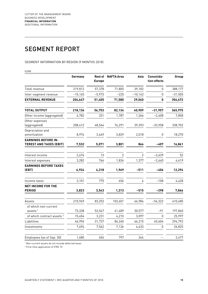### SEGMENT REPORT

### SEGMENT INFORMATION BY REGION (9 MONTHS 2018)

EURK

|                                                              | Germany   | <b>Rest of</b><br><b>Europe</b> | <b>NAFTA Area</b> | Asia           | Consolida-<br>tion effects | Group     |
|--------------------------------------------------------------|-----------|---------------------------------|-------------------|----------------|----------------------------|-----------|
| Total revenue                                                | 219,812   | 57,378                          | 71,805            | 39,182         | $\mathbf{0}$               | 388,177   |
| Inter-segment revenue                                        | $-15,165$ | $-5,973$                        | $-225$            | $-10,142$      | $\mathbf{0}$               | $-31,505$ |
| <b>EXTERNAL REVENUE</b>                                      | 204,647   | 51,405                          | 71,580            | 29,040         | 0                          | 356,672   |
| <b>TOTAL OUTPUT</b>                                          | 218,136   | 56,753                          | 82,134            | 40,909         | $-31,957$                  | 365,975   |
| Other income (aggregated)                                    | 6,782     | 331                             | 1,787             | 1,366          | $-2,408$                   | 7,858     |
| Other expenses<br>(aggregated)                               | 208,412   | 48,564                          | 76,291            | 39,393         | $-33,958$                  | 338,702   |
| Depreciation and<br>amortization                             | 8,974     | 3,449                           | 3,829             | 2,018          | 0                          | 18,270    |
| <b>EARNINGS BEFORE IN-</b><br><b>TEREST AND TAXES (EBIT)</b> | 7,532     | 5,071                           | 3,801             | 864            | $-407$                     | 16,861    |
| Interest income                                              | 2,674     | 13                              | $\overline{2}$    | $\overline{2}$ | $-2,639$                   | 52        |
| Interest expenses                                            | 3,282     | 766                             | 1,834             | 1,377          | $-2,640$                   | 4,619     |
| <b>EARNINGS BEFORE TAXES</b><br>(EBT)                        | 6,924     | 4,318                           | 1,969             | $-511$         | -406                       | 12,294    |
| Income taxes                                                 | 3,101     | 775                             | 656               | 4              | $-108$                     | 4,428     |
| <b>NET INCOME FOR THE</b><br><b>PERIOD</b>                   | 3,823     | 3,543                           | 1,313             | $-515$         | $-298$                     | 7,866     |
| Assets                                                       | 210,969   | 83,253                          | 103,601           | 66,984         | $-54,322$                  | 410,485   |
| of which non-current<br>assets <sup>1</sup>                  | 73,338    | 52,547                          | 41,489            | 30,577         | $-91$                      | 197,860   |
| of which contract assets <sup>2</sup>                        | 15,454    | 3,231                           | 4,215             | 3,097          | $\mathbf{0}$               | 25,997    |
| Liabilities                                                  | 46,996    | 31,737                          | 84,240            | 66,215         | 65,604                     | 294,792   |
| Investments                                                  | 7,694     | 7,562                           | 7,136             | 4,433          | 0                          | 26,825    |
| Employees (as of Sep. 30)                                    | 1,680     | 656                             | 797               | 344            |                            | 3,477     |

<sup>1</sup> Non-current assets do not include deferred taxes.

<sup>2</sup> First-time application of IFRS 15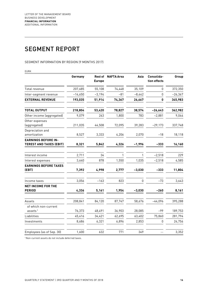### SEGMENT REPORT

### SEGMENT INFORMATION BY REGION (9 MONTHS 2017)

EURK

|                                                              | Germany   | <b>Rest of</b><br><b>Europe</b> | <b>NAFTA Area</b> | Asia     | Consolida-<br>tion effects | Group     |
|--------------------------------------------------------------|-----------|---------------------------------|-------------------|----------|----------------------------|-----------|
| Total revenue                                                | 207,685   | 55,108                          | 74,448            | 35,109   | 0                          | 372,350   |
| Inter-segment revenue                                        | $-14,650$ | $-3,194$                        | $-81$             | $-8,442$ | $\mathbf{0}$               | $-26,367$ |
| <b>EXTERNAL REVENUE</b>                                      | 193,035   | 51,914                          | 74,367            | 26,667   | 0                          | 345,983   |
| <b>TOTAL OUTPUT</b>                                          | 218,804   | 53,420                          | 78,827            | 38,574   | $-26,643$                  | 362,982   |
| Other income (aggregated)                                    | 9,079     | 263                             | 1,800             | 783      | $-2,881$                   | 9,044     |
| Other expenses<br>(aggregated)                               | 211,035   | 44,508                          | 72,095            | 39,283   | $-29,173$                  | 337,748   |
| Depreciation and<br>amortization                             | 8,527     | 3,333                           | 4,206             | 2,070    | $-18$                      | 18,118    |
| <b>EARNINGS BEFORE IN-</b><br><b>TEREST AND TAXES (EBIT)</b> | 8,321     | 5,842                           | 4,326             | $-1,996$ | $-333$                     | 16,160    |
| Interest income                                              | 2,711     | 34                              | 1                 | 1        | $-2,518$                   | 229       |
| Interest expenses                                            | 3,640     | 878                             | 1,550             | 1,035    | $-2,518$                   | 4,585     |
| <b>EARNINGS BEFORE TAXES</b><br>(EBT)                        | 7,392     | 4,998                           | 2,777             | $-3,030$ | $-333$                     | 11,804    |
| Income taxes                                                 | 3,056     | $-163$                          | 823               | 0        | $-73$                      | 3,643     |
| <b>NET INCOME FOR THE</b><br><b>PERIOD</b>                   | 4,336     | 5,161                           | 1,954             | $-3,030$ | $-260$                     | 8,161     |
| Assets                                                       | 208,841   | 84,120                          | 87,747            | 58,676   | $-44,096$                  | 395,288   |
| of which non-current<br>assets $1$                           | 76,373    | 48,491                          | 36,903            | 28,085   | $-99$                      | 189,753   |
| Liabilities                                                  | 45,416    | 34,421                          | 62,695            | 63,402   | 75,860                     | 281,794   |
| Investments                                                  | 8,686     | 6,321                           | 6,896             | 2,853    | $\mathbf 0$                | 24,756    |
| Employees (as of Sep. 30)                                    | 1,600     | 632                             | 771               | 349      |                            | 3,352     |

<sup>1</sup> Non-current assets do not include deferred taxes.